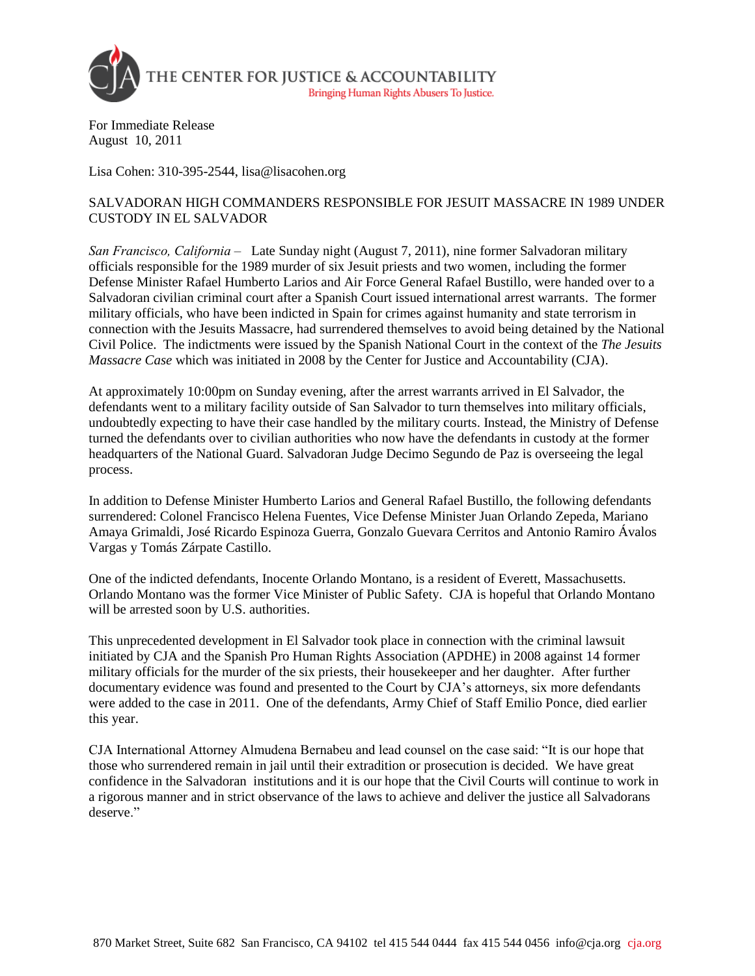

For Immediate Release August 10, 2011

Lisa Cohen: 310-395-2544, lisa@lisacohen.org

## SALVADORAN HIGH COMMANDERS RESPONSIBLE FOR JESUIT MASSACRE IN 1989 UNDER CUSTODY IN EL SALVADOR

*San Francisco, California –* Late Sunday night (August 7, 2011), nine former Salvadoran military officials responsible for the 1989 murder of six Jesuit priests and two women, including the former Defense Minister Rafael Humberto Larios and Air Force General Rafael Bustillo, were handed over to a Salvadoran civilian criminal court after a Spanish Court issued international arrest warrants. The former military officials, who have been indicted in Spain for crimes against humanity and state terrorism in connection with the Jesuits Massacre, had surrendered themselves to avoid being detained by the National Civil Police. The indictments were issued by the Spanish National Court in the context of the *The Jesuits Massacre Case* which was initiated in 2008 by the Center for Justice and Accountability (CJA).

At approximately 10:00pm on Sunday evening, after the arrest warrants arrived in El Salvador, the defendants went to a military facility outside of San Salvador to turn themselves into military officials, undoubtedly expecting to have their case handled by the military courts. Instead, the Ministry of Defense turned the defendants over to civilian authorities who now have the defendants in custody at the former headquarters of the National Guard. Salvadoran Judge Decimo Segundo de Paz is overseeing the legal process.

In addition to Defense Minister Humberto Larios and General Rafael Bustillo, the following defendants surrendered: Colonel Francisco Helena Fuentes, Vice Defense Minister Juan Orlando Zepeda, Mariano Amaya Grimaldi, José Ricardo Espinoza Guerra, Gonzalo Guevara Cerritos and Antonio Ramiro Ávalos Vargas y Tomás Zárpate Castillo.

One of the indicted defendants, Inocente Orlando Montano, is a resident of Everett, Massachusetts. Orlando Montano was the former Vice Minister of Public Safety. CJA is hopeful that Orlando Montano will be arrested soon by U.S. authorities.

This unprecedented development in El Salvador took place in connection with the criminal lawsuit initiated by CJA and the Spanish Pro Human Rights Association (APDHE) in 2008 against 14 former military officials for the murder of the six priests, their housekeeper and her daughter. After further documentary evidence was found and presented to the Court by CJA's attorneys, six more defendants were added to the case in 2011. One of the defendants, Army Chief of Staff Emilio Ponce, died earlier this year.

CJA International Attorney Almudena Bernabeu and lead counsel on the case said: "It is our hope that those who surrendered remain in jail until their extradition or prosecution is decided. We have great confidence in the Salvadoran institutions and it is our hope that the Civil Courts will continue to work in a rigorous manner and in strict observance of the laws to achieve and deliver the justice all Salvadorans deserve."